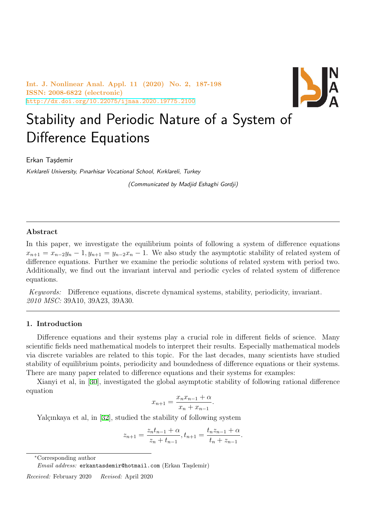**Int. J. Nonlinear Anal. Appl. 11 (2020) No. 2, 187-198 ISSN: 2008-6822 (electronic)** http://dx.doi.org/10.22075/ijnaa.2020.19775.2100



# Stability and Periodic Nature of a System of [Difference Equations](http://dx.doi.org/10.22075/ijnaa.2020.19775.2100)

Erkan Tasdemir

*Kırklareli University, Pınarhisar Vocational School, Kırklareli, Turkey*

*(Communicated by Madjid Eshaghi Gordji)*

## **Abstract**

In this paper, we investigate the equilibrium points of following a system of difference equations  $x_{n+1} = x_{n-2}y_n - 1, y_{n+1} = y_{n-2}x_n - 1$ . We also study the asymptotic stability of related system of difference equations. Further we examine the periodic solutions of related system with period two. Additionally, we find out the invariant interval and periodic cycles of related system of difference equations.

*Keywords:* Difference equations, discrete dynamical systems, stability, periodicity, invariant. *2010 MSC:* 39A10, 39A23, 39A30.

## **1. Introduction**

Difference equations and their systems play a crucial role in different fields of science. Many scientific fields need mathematical models to interpret their results. Especially mathematical models via discrete variables are related to this topic. For the last decades, many scientists have studied stability of equilibrium points, periodicity and boundedness of difference equations or their systems. There are many paper related to difference equations and their systems for examples:

Xianyi et al, in [30], investigated the global asymptotic stability of following rational difference equation

$$
x_{n+1} = \frac{x_n x_{n-1} + \alpha}{x_n + x_{n-1}}.
$$

Yalçınkaya et al, [in](#page-11-0) [32], studied the stability of following system

$$
z_{n+1} = \frac{z_n t_{n-1} + \alpha}{z_n + t_{n-1}}, t_{n+1} = \frac{t_n z_{n-1} + \alpha}{t_n + z_{n-1}}.
$$

*<sup>∗</sup>*Corresponding author

*Received:* February 2020 *Revised:* April 2020

*Email address:* erkantasdemir@hotmail.com (Erkan Taşdemir)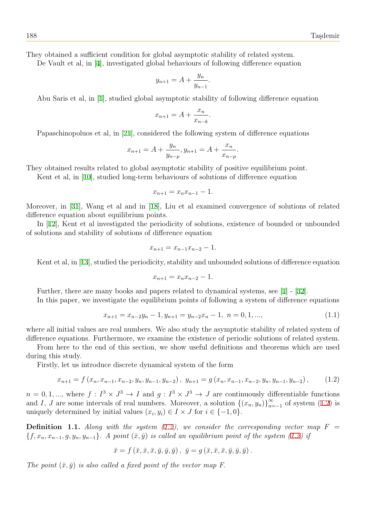They obtained a sufficient condition for global asymptotic stability of related system.

De Vault et al, in [4], investigated global behaviours of following difference equation

$$
y_{n+1} = A + \frac{y_n}{y_{n-1}}.
$$

Abu Saris et al, in [\[1](#page-10-0)], studied global asymptotic stability of following difference equation

$$
x_{n+1} = A + \frac{x_n}{x_{n-k}}.
$$

Papaschinopoluos e[t](#page-10-1) al, in [21], considered the following system of difference equations

$$
x_{n+1} = A + \frac{y_n}{y_{n-p}}, y_{n+1} = A + \frac{x_n}{x_{n-p}}.
$$

They obtained results related [to g](#page-10-2)lobal asymptotic stability of positive equilibrium point.

Kent et al, in [10], studied long-term behaviours of solutions of difference equation

$$
x_{n+1} = x_n x_{n-1} - 1.
$$

Moreover, in [31], [W](#page-10-3)ang et al and in [18], Liu et al examined convergence of solutions of related difference equation about equilibrium points.

In [12], Kent et al investigated the periodicity of solutions, existence of bounded or unbounded of solutions a[nd s](#page-11-1)tability of solutions of [di](#page-10-4)fference equation

$$
x_{n+1} = x_{n-1}x_{n-2} - 1.
$$

Kent et al, in [13], studied the periodicity, stability and unbounded solutions of difference equation

$$
x_{n+1} = x_n x_{n-2} - 1.
$$

Further, there [ar](#page-10-5)e many books and papers related to dynamical systems, see [1] - [32].

In this paper, we investigate the equilibrium points of following a system of difference equations

<span id="page-1-1"></span>
$$
x_{n+1} = x_{n-2}y_n - 1, y_{n+1} = y_{n-2}x_n - 1, n = 0, 1, ..., \tag{1.1}
$$

where all initial values are real numbers. We also study the asymptotic stability of related system of difference equations. Furthermore, we examine the existence of periodic solutions of related system.

From here to the end of this section, we show useful definitions and theorems which are used during this study.

Firstly, let us introduce discrete dynamical system of the form

<span id="page-1-0"></span>
$$
x_{n+1} = f(x_n, x_{n-1}, x_{n-2}, y_n, y_{n-1}, y_{n-2}), y_{n+1} = g(x_n, x_{n-1}, x_{n-2}, y_n, y_{n-1}, y_{n-2}), \qquad (1.2)
$$

 $n = 0, 1, \dots$ , where  $f: I^3 \times J^3 \to I$  and  $g: I^3 \times J^3 \to J$  are continuously differentiable functions and *I*, *J* are some intervals of real numbers. Moreover, a solution  $\{(x_n, y_n)\}_{n=-1}^{\infty}$  of system (1.2) is uniquely determined by initial values  $(x_i, y_i) \in I \times J$  for  $i \in \{-1, 0\}$ .

**Definition 1.1.** Along with the system (1.2), we consider the corresponding vector map  $F =$  ${f, x_n, x_{n-1}, g, y_n, y_{n-1}}$ . A point  $(\bar{x}, \bar{y})$  is called an equilibrium point of the system (1.2) if

$$
\bar{x} = f(\bar{x}, \bar{x}, \bar{x}, \bar{y}, \bar{y}, \bar{y}), \bar{y} = g(\bar{x}, \bar{x}, \bar{x}, \bar{y}, \bar{y}, \bar{y}).
$$

*The point*  $(\bar{x}, \bar{y})$  *is also called a fixed point of the vector map F.*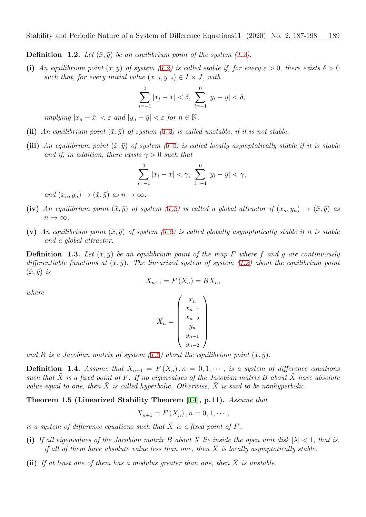**Definition 1.2.** Let  $(\bar{x}, \bar{y})$  be an equilibrium point of the system (1.2).

(i) An equilibrium point  $(\bar{x}, \bar{y})$  of system (1.2) is called stable if, for every  $\varepsilon > 0$ , there exists  $\delta > 0$ *such that, for every initial value*  $(x_{-i}, y_{-i}) \in I \times J$ , with

$$
\sum_{i=-1}^{0} |x_i - \bar{x}| < \delta, \ \sum_{i=-1}^{0} |y_i - \bar{y}| < \delta,
$$

*implying*  $|x_n - \bar{x}| < \varepsilon$  *and*  $|y_n - \bar{y}| < \varepsilon$  *for*  $n \in \mathbb{N}$ *.* 

- (ii) An equilibrium point  $(\bar{x}, \bar{y})$  of system (1.2) is called unstable, if it is not stable.
- **(iii)** An equilibrium point  $(\bar{x}, \bar{y})$  of system (1.2) is called locally asymptotically stable if it is stable *and if, in addition, there exists*  $\gamma > 0$  *such that*

$$
\sum_{i=-1}^{0} |x_i - \bar{x}| < \gamma, \ \sum_{i=-1}^{0} |y_i - \bar{y}| < \gamma,
$$

 $and (x_n, y_n) \rightarrow (\bar{x}, \bar{y}) \text{ as } n \rightarrow \infty.$ 

- (iv) *An equilibrium point*  $(\bar{x}, \bar{y})$  *of system* (1.2) *is called a global attractor if*  $(x_n, y_n) \rightarrow (\bar{x}, \bar{y})$  *as*  $n \rightarrow \infty$ .
- (v) An equilibrium point  $(\bar{x}, \bar{y})$  of system (1.2) is called globally asymptotically stable if it is stable *and a global attractor.*

**Definition 1.3.** Let  $(\bar{x}, \bar{y})$  be an equilibrium point of the map F where f and q are continuously *differentiable functions at*  $(\bar{x}, \bar{y})$ *. The linea[rize](#page-1-0)d system of system (1.2) about the equilibrium point*  $(\bar{x}, \bar{y})$  *is* 

$$
X_{n+1} = F(X_n) = BX_n,
$$

*where*

$$
X_{n} = \begin{pmatrix} x_{n} \\ x_{n-1} \\ x_{n-2} \\ y_{n} \\ y_{n-1} \\ y_{n-2} \end{pmatrix}
$$

and *B* is a Jacobian matrix of system (1.2) about the equilibrium point  $(\bar{x}, \bar{y})$ .

**Definition 1.4.** *Assume that*  $X_{n+1} = F(X_n)$ *,*  $n = 0, 1, \cdots$ *, is a system of difference equations such that*  $\overline{X}$  *is a fixed point of*  $F$ *. If no eigenvalues of the Jacobian matrix*  $B$  *about*  $\overline{X}$  *have absolute value equal to one, then*  $\bar{X}$  *is called hy[perbo](#page-1-0)lic. Otherwise,*  $\bar{X}$  *is said to be nonhyperbolic.* 

**Theorem 1.5 (Linearized Stability Theorem [14], p.11).** *Assume that*

$$
X_{n+1} = F(X_n), n = 0, 1, \cdots,
$$

*is a system of difference equations such that*  $\overline{X}$  *is a [fix](#page-10-6)ed point of*  $F$ *.* 

- **(i)** If all eigenvalues of the Jacobian matrix B about  $\overline{X}$  lie inside the open unit disk  $|\lambda| < 1$ , that is, *if all of them have absolute value less than one, then*  $\overline{X}$  *is locally asymptotically stable.*
- **(ii)** If at least one of them has a modulus greater than one, then  $\bar{X}$  is unstable.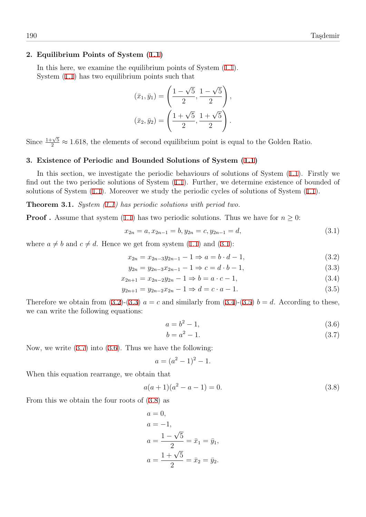## **2. Equilibrium Points of System (1.1)**

In this here, we examine the equilibrium points of System (1.1). System (1.1) has two equilibrium points such that

$$
(\bar{x}_1, \bar{y}_1) = \left(\frac{1-\sqrt{5}}{2}, \frac{1-\sqrt{5}}{2}\right),
$$

$$
(\bar{x}_2, \bar{y}_2) = \left(\frac{1+\sqrt{5}}{2}, \frac{1+\sqrt{5}}{2}\right).
$$

Since  $\frac{1+\sqrt{5}}{2} \approx 1.618$ , the elements of second equilibrium point is equal to the Golden Ratio.

# **3. Existence of Periodic and Bounded Solutions of System (1.1)**

In this section, we investigate the periodic behaviours of solutions of System (1.1). Firstly we find out the two periodic solutions of System (1.1). Further, we determine existence of bounded of solutions of System (1.1). Moreover we study the periodic cycles of s[olut](#page-1-1)ions of System (1.1).

**Theorem 3.1.** *System (1.1) has periodic solutions with period two.*

**Proof**. Assume tha[t sy](#page-1-1)stem (1.1) has two per[iod](#page-1-1)ic solutions. Thus we have for  $n \geq 0$ :

$$
x_{2n} = a, x_{2n-1} = b, y_{2n} = c, y_{2n-1} = d,
$$
\n(3.1)

where  $a \neq b$  and  $c \neq d$ . Hence [we](#page-1-1) get from system (1.1) and (3.1):

<span id="page-3-0"></span>
$$
x_{2n} = x_{2n-3}y_{2n-1} - 1 \Rightarrow a = b \cdot d - 1,
$$
\n(3.2)

$$
y_{2n} = y_{2n-3}x_{2n-1} - 1 \Rightarrow c = d \cdot b - 1,\tag{3.3}
$$

$$
x_{2n+1} = x_{2n-2}y_{2n} - 1 \Rightarrow b = a \cdot c - 1,
$$
\n(3.4)

$$
y_{2n+1} = y_{2n-2}x_{2n} - 1 \Rightarrow d = c \cdot a - 1.
$$
\n(3.5)

Therefore we obtain from  $(3.2)-(3.3)$   $a = c$  and similarly from  $(3.4)-(3.5)$   $b = d$ . According to these, we can write the following equations:

$$
a = b^2 - 1,\t\t(3.6)
$$

<span id="page-3-2"></span><span id="page-3-1"></span>
$$
b = a^2 - 1.\t\t(3.7)
$$

Now, we write  $(3.7)$  into  $(3.6)$ . Thus we have the following:

$$
a = (a^2 - 1)^2 - 1.
$$

When this equa[tion](#page-3-1) rearr[ange](#page-3-2), we obtain that

$$
a(a+1)(a2 - a - 1) = 0.
$$
 (3.8)

From this we obtain the four roots of (3.8) as

$$
a = 0,
$$
  
\n
$$
a = -1,
$$
  
\n
$$
a = \frac{1 - \sqrt{5}}{2} = \bar{x}_1 = \bar{y}_1,
$$
  
\n
$$
a = \frac{1 + \sqrt{5}}{2} = \bar{x}_2 = \bar{y}_2.
$$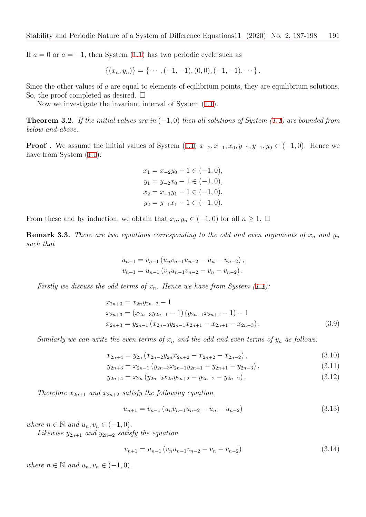If  $a = 0$  or  $a = -1$ , then System (1.1) has two periodic cycle such as

$$
\{(x_n, y_n)\} = \{\cdots, (-1, -1), (0, 0), (-1, -1), \cdots\}.
$$

Since the other values of *a* are eq[ual t](#page-1-1)o elements of eqilibrium points, they are equilibrium solutions. So, the proof completed as desired.  $\square$ 

Now we investigate the invariant interval of System (1.1).

**Theorem 3.2.** *If the initial values are in* (*−*1*,* 0) *then all solutions of System (1.1) are bounded from below and above.*

<span id="page-4-0"></span>**Proof.** We assume the initial values of System (1.1)  $x_{-2}, x_{-1}, x_0, y_{-2}, y_{-1}, y_0 \in (-1,0)$ . Hence we have from System  $(1.1)$ :

$$
x_1 = x_{-2}y_0 - 1 \in (-1, 0),
$$
  
\n
$$
y_1 = y_{-2}x_0 - 1 \in (-1, 0),
$$
  
\n
$$
x_2 = x_{-1}y_1 - 1 \in (-1, 0),
$$
  
\n
$$
y_2 = y_{-1}x_1 - 1 \in (-1, 0).
$$

From these and by induction, we obtain that  $x_n, y_n \in (-1,0)$  for all  $n \geq 1$ .  $\Box$ 

**Remark 3.3.** *There are two equations corresponding to the odd and even arguments of*  $x_n$  and  $y_n$ *such that*

$$
u_{n+1} = v_{n-1} (u_n v_{n-1} u_{n-2} - u_n - u_{n-2}),
$$
  

$$
v_{n+1} = u_{n-1} (v_n u_{n-1} v_{n-2} - v_n - v_{n-2}).
$$

*Firstly we discuss the odd terms of*  $x_n$ *. Hence we have from System (1.1):* 

$$
x_{2n+3} = x_{2n}y_{2n-2} - 1
$$
  
\n
$$
x_{2n+3} = (x_{2n-3}y_{2n-1} - 1)(y_{2n-1}x_{2n+1} - 1) - 1
$$
  
\n
$$
x_{2n+3} = y_{2n-1}(x_{2n-3}y_{2n-1}x_{2n+1} - x_{2n+1} - x_{2n-3}).
$$
\n(3.9)

*Similarly we can write the even terms of*  $x_n$  *and the odd and even terms of*  $y_n$  *as follows:* 

$$
x_{2n+4} = y_{2n} \left( x_{2n-2} y_{2n} x_{2n+2} - x_{2n+2} - x_{2n-2} \right), \tag{3.10}
$$

$$
y_{2n+3} = x_{2n-1} \left( y_{2n-3} x_{2n-1} y_{2n+1} - y_{2n+1} - y_{2n-3} \right), \tag{3.11}
$$

$$
y_{2n+4} = x_{2n} \left( y_{2n-2} x_{2n} y_{2n+2} - y_{2n+2} - y_{2n-2} \right). \tag{3.12}
$$

*Therefore*  $x_{2n+1}$  *and*  $x_{2n+2}$  *satisfy the following equation* 

$$
u_{n+1} = v_{n-1} \left( u_n v_{n-1} u_{n-2} - u_n - u_{n-2} \right) \tag{3.13}
$$

*where*  $n \in \mathbb{N}$  *and*  $u_n, v_n \in (-1, 0)$ *.* 

*Likewise*  $y_{2n+1}$  *and*  $y_{2n+2}$  *satisfy the equation* 

<span id="page-4-1"></span>
$$
v_{n+1} = u_{n-1} \left( v_n u_{n-1} v_{n-2} - v_n - v_{n-2} \right) \tag{3.14}
$$

*where*  $n \in \mathbb{N}$  *and*  $u_n, v_n \in (-1, 0)$ *.*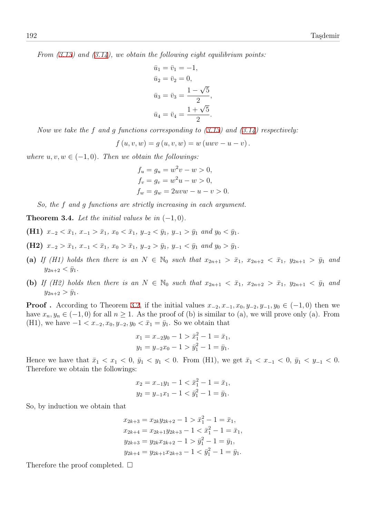*From (3.13) and (3.14), we obtain the following eight equilibrium points:*

$$
\bar{u}_1 = \bar{v}_1 = -1,
$$
  
\n
$$
\bar{u}_2 = \bar{v}_2 = 0,
$$
  
\n
$$
\bar{u}_3 = \bar{v}_3 = \frac{1 - \sqrt{5}}{2},
$$
  
\n
$$
\bar{u}_4 = \bar{v}_4 = \frac{1 + \sqrt{5}}{2}.
$$

*Now we take the f and g functions corresponding to (3.13) and (3.14) respectively:*

$$
f (u, v, w) = g (u, v, w) = w (uwv - u - v).
$$

*where*  $u, v, w \in (-1, 0)$ *. Then we obtain the followings:* 

$$
f_u = g_u = w^2v - w > 0,
$$
  
\n
$$
f_v = g_v = w^2u - w > 0,
$$
  
\n
$$
f_w = g_w = 2uvw - u - v > 0.
$$

*So, the f and g functions are strictly increasing in each argument.*

**Theorem 3.4.** Let the initial values be in  $(-1, 0)$ .

- (**H1)**  $x_{-2} < \bar{x}_1, x_{-1} > \bar{x}_1, x_0 < \bar{x}_1, y_{-2} < \bar{y}_1, y_{-1} > \bar{y}_1$  and  $y_0 < \bar{y}_1$ .
- <span id="page-5-0"></span>(H2)  $x_{-2} > \bar{x}_1, x_{-1} < \bar{x}_1, x_0 > \bar{x}_1, y_{-2} > \bar{y}_1, y_{-1} < \bar{y}_1$  and  $y_0 > \bar{y}_1$ .
- (a) If (H1) holds then there is an  $N \in \mathbb{N}_0$  such that  $x_{2n+1} > \bar{x}_1$ ,  $x_{2n+2} < \bar{x}_1$ ,  $y_{2n+1} > \bar{y}_1$  and  $y_{2n+2} < \bar{y}_1$ .
- (b) If (H2) holds then there is an  $N \in \mathbb{N}_0$  such that  $x_{2n+1} < \bar{x}_1$ ,  $x_{2n+2} > \bar{x}_1$ ,  $y_{2n+1} < \bar{y}_1$  and  $y_{2n+2} > \bar{y}_1$ .

**Proof**. According to Theorem 3.2, if the initial values  $x_{-2}, x_{-1}, x_0, y_{-2}, y_{-1}, y_0 \in (-1,0)$  then we have  $x_n, y_n \in (-1, 0)$  for all  $n \ge 1$ . As the proof of (b) is similar to (a), we will prove only (a). From (H1), we have  $-1 < x_{-2}, x_0, y_{-2}, y_0 < \bar{x}_1 = \bar{y}_1$ . So we obtain that

$$
x_1 = x_{-2}y_0 - 1 > \bar{x}_1^2 - 1 = \bar{x}_1,
$$
  
\n
$$
y_1 = y_{-2}x_0 - 1 > \bar{y}_1^2 - 1 = \bar{y}_1.
$$

Hence we have that  $\bar{x}_1 < x_1 < 0$ ,  $\bar{y}_1 < y_1 < 0$ . From (H1), we get  $\bar{x}_1 < x_{-1} < 0$ ,  $\bar{y}_1 < y_{-1} < 0$ . Therefore we obtain the followings:

$$
x_2 = x_{-1}y_1 - 1 < \bar{x}_1^2 - 1 = \bar{x}_1, \\
y_2 = y_{-1}x_1 - 1 < \bar{y}_1^2 - 1 = \bar{y}_1.
$$

So, by induction we obtain that

$$
x_{2k+3} = x_{2k}y_{2k+2} - 1 > \bar{x}_1^2 - 1 = \bar{x}_1,
$$
  
\n
$$
x_{2k+4} = x_{2k+1}y_{2k+3} - 1 < \bar{x}_1^2 - 1 = \bar{x}_1,
$$
  
\n
$$
y_{2k+3} = y_{2k}x_{2k+2} - 1 > \bar{y}_1^2 - 1 = \bar{y}_1,
$$
  
\n
$$
y_{2k+4} = y_{2k+1}x_{2k+3} - 1 < \bar{y}_1^2 - 1 = \bar{y}_1.
$$

<span id="page-5-1"></span>Therefore the proof completed.  $\square$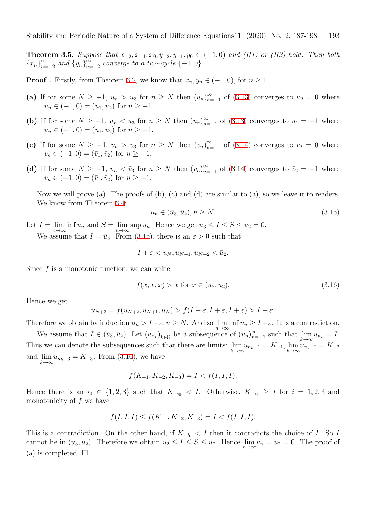**Theorem 3.5.** *Suppose that*  $x_{-2}, x_{-1}, x_0, y_{-2}, y_{-1}, y_0 ∈ (-1,0)$  and (H1) or (H2) hold. Then both  ${x_n}_{n=-2}^{\infty}$  *and*  ${y_n}_{n=-2}^{\infty}$  *converge to a two-cycle*  ${-1,0}$ *.* 

**Proof**. Firstly, from Theorem 3.2, we know that  $x_n, y_n \in (-1,0)$ , for  $n \geq 1$ .

- (a) If for some  $N \ge -1$ ,  $u_n > \bar{u}_3$  for  $n \ge N$  then  $(u_n)_{n=-1}^{\infty}$  of (3.13) converges to  $\bar{u}_2 = 0$  where  $u_n \in (-1, 0) = (\bar{u}_1, \bar{u}_2)$  $u_n \in (-1, 0) = (\bar{u}_1, \bar{u}_2)$  $u_n \in (-1, 0) = (\bar{u}_1, \bar{u}_2)$  for  $n \geq -1$ .
- **(b)** If for some  $N \ge -1$ ,  $u_n < \bar{u}_3$  for  $n \ge N$  then  $(u_n)_{n=-1}^{\infty}$  of (3.13) converges to  $\bar{u}_1 = -1$  where  $u_n \in (-1, 0) = (\bar{u}_1, \bar{u}_2)$  for  $n \geq -1$ .
- (c) If for some  $N \geq -1$ ,  $v_n > \bar{v}_3$  for  $n \geq N$  then  $(v_n)_{n=-1}^{\infty}$  of (3.14) converges to  $\bar{v}_2 = 0$  where  $v_n \in (-1, 0) = (\bar{v}_1, \bar{v}_2)$  for  $n \geq -1$ .
- (d) If for some  $N \geq -1$ ,  $v_n < \bar{v}_3$  for  $n \geq N$  then  $(v_n)_{n=-1}^{\infty}$  of (3.14) converges to  $\bar{v}_2 = -1$  where  $v_n \in (-1, 0) = (\bar{v}_1, \bar{v}_2)$  for  $n \geq -1$ .

Now we will prove (a). The proofs of (b), (c) and (d) are simi[lar to](#page-4-1) (a), so we leave it to readers. We know from Theorem 3.4:

<span id="page-6-0"></span>
$$
u_n \in (\bar{u}_3, \bar{u}_2), n \ge N. \tag{3.15}
$$

Let  $I = \lim_{n \to \infty} \inf u_n$  and  $S = \lim_{n \to \infty} \sup u_n$ . Hence we get  $\bar{u}_3 \le I \le S \le \bar{u}_2 = 0$ . We assume that  $I = \bar{u}_3$ . [Fro](#page-5-0)m (3.15), there is an  $\varepsilon > 0$  such that

$$
I + \varepsilon < u_N, u_{N+1}, u_{N+2} < \bar{u}_2.
$$

Since *f* is a monotonic function, w[e can](#page-6-0) write

<span id="page-6-1"></span>
$$
f(x, x, x) > x \text{ for } x \in (\bar{u}_3, \bar{u}_2). \tag{3.16}
$$

Hence we get

$$
u_{N+3} = f(u_{N+2}, u_{N+1}, u_N) > f(I + \varepsilon, I + \varepsilon, I + \varepsilon) > I + \varepsilon.
$$

Therefore we obtain by induction  $u_n > I + \varepsilon$ ,  $n \geq N$ . And so  $\lim_{n \to \infty} \inf u_n \geq I + \varepsilon$ . It is a contradiction.

We assume that  $I \in (\bar{u}_3, \bar{u}_2)$ . Let  $(u_{n_k})_{k \in \mathbb{N}}$  be a subsequence of  $(u_n)_{n=-1}^{\infty}$  such that  $\lim_{k \to \infty}$  $\lim_{k\to\infty} u_{n_k} = I.$ Thus we can denote the subsequences such that there are limits: lim  $\lim_{k \to \infty} u_{n_k-1} = K_{-1}, \lim_{k \to \infty} u_{n_k-2} = K_{-2}$ and lim  $\lim_{k \to \infty} u_{n_k-3} = K_{-3}$ . From (3.16), we have

$$
f(K_{-1}, K_{-2}, K_{-3}) = I < f(I, I, I).
$$

Hence there is an  $i_0 \in \{1,2,3\}$  $i_0 \in \{1,2,3\}$  $i_0 \in \{1,2,3\}$  such that  $K_{-i_0} < I$ . Otherwise,  $K_{-i_0} \geq I$  for  $i = 1,2,3$  and monotonicity of *f* we have

$$
f(I, I, I) \le f(K_{-1}, K_{-2}, K_{-3}) = I < f(I, I, I).
$$

This is a contradiction. On the other hand, if  $K_{-i_0} < I$  then it contradicts the choice of *I*. So *I* cannot be in  $(\bar{u}_3, \bar{u}_2)$ . Therefore we obtain  $\bar{u}_2 \le I \le S \le \bar{u}_2$ . Hence  $\lim_{n \to \infty} u_n = \bar{u}_2 = 0$ . The proof of (a) is completed.  $\square$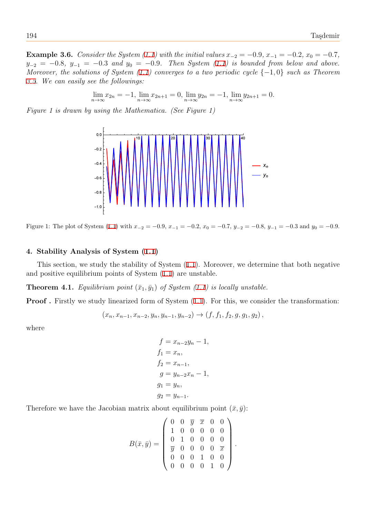**Example 3.6.** Consider the System (1.1) with the initial values  $x_{-2} = -0.9, x_{-1} = -0.2, x_0 = -0.7$ ,  $y_{-2} = -0.8$ ,  $y_{-1} = -0.3$  *and*  $y_0 = -0.9$ *. Then System (1.1) is bounded from below and above. Moreover, the solutions of System (1.1) converges to a two periodic cycle {−*1*,* 0*} such as Theorem 3.5. We can easily see the followings:*

$$
\lim_{n \to \infty} x_{2n} = -1, \lim_{n \to \infty} x_{2n+1} = 0, \lim_{n \to \infty} y_{2n} = -1, \lim_{n \to \infty} y_{2n+1} = 0.
$$

*[Fig](#page-5-1)ure 1 is drawn by using the Mathematica. (See Figure 1)*



Figure 1: The plot of System (1.1) with  $x_{-2} = -0.9$ ,  $x_{-1} = -0.2$ ,  $x_0 = -0.7$ ,  $y_{-2} = -0.8$ ,  $y_{-1} = -0.3$  and  $y_0 = -0.9$ .

# **4. Stability Analysis o[f S](#page-1-1)ystem (1.1)**

This section, we study the stability of System (1.1). Moreover, we determine that both negative and positive equilibrium points of System (1.1) are unstable.

**Theorem 4.1.** *Equilibrium point*  $(\bar{x}_1, \bar{y}_1)$  *of System (1.1) is locally unstable.* 

**Proof.** Firstly we study linearized form o[f Sy](#page-1-1)stem  $(1.1)$ . For this, we consider the transformation:

$$
(x_n, x_{n-1}, x_{n-2}, y_n, y_{n-1}, y_{n-2}) \rightarrow (f, f_1, f_2, g, g_1, g_2),
$$

where

$$
f = x_{n-2}y_n - 1,
$$
  
\n
$$
f_1 = x_n,
$$
  
\n
$$
f_2 = x_{n-1},
$$
  
\n
$$
g = y_{n-2}x_n - 1,
$$
  
\n
$$
g_1 = y_n,
$$
  
\n
$$
g_2 = y_{n-1}.
$$

Therefore we have the Jacobian matrix about equilibrium point  $(\bar{x}, \bar{y})$ :

$$
B(\bar{x}, \bar{y}) = \left(\begin{array}{cccc} 0 & 0 & \bar{y} & \bar{x} & 0 & 0 \\ 1 & 0 & 0 & 0 & 0 & 0 \\ 0 & 1 & 0 & 0 & 0 & 0 \\ \bar{y} & 0 & 0 & 0 & 0 & \bar{x} \\ 0 & 0 & 0 & 1 & 0 & 0 \\ 0 & 0 & 0 & 0 & 1 & 0 \end{array}\right)
$$

.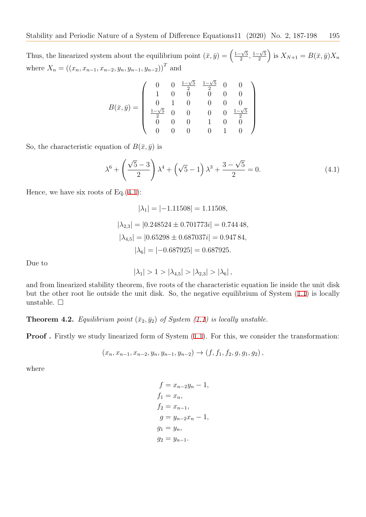Thus, the linearized system about the equilibrium point  $(\bar{x}, \bar{y}) = \left(\frac{1-\sqrt{5}}{2}\right)$  $\frac{1-\sqrt{5}}{2}, \frac{1-\sqrt{5}}{2}$  $\left(\frac{\sqrt{5}}{2}\right)$  is  $X_{N+1} = B(\bar{x}, \bar{y})X_n$ where  $X_n = ((x_n, x_{n-1}, x_{n-2}, y_n, y_{n-1}, y_{n-2}))^T$  and

$$
B(\bar{x}, \bar{y}) = \left(\begin{array}{cccccc} 0 & 0 & \frac{1-\sqrt{5}}{2} & \frac{1-\sqrt{5}}{2} & 0 & 0 \\ 1 & 0 & 0 & 0 & 0 & 0 \\ 0 & 1 & 0 & 0 & 0 & 0 \\ \frac{1-\sqrt{5}}{2} & 0 & 0 & 0 & 0 & \frac{1-\sqrt{5}}{2} \\ 0 & 0 & 0 & 1 & 0 & 0 \\ 0 & 0 & 0 & 0 & 1 & 0 \end{array}\right)
$$

So, the characteristic equation of  $B(\bar{x}, \bar{y})$  is

$$
\lambda^6 + \left(\frac{\sqrt{5} - 3}{2}\right)\lambda^4 + \left(\sqrt{5} - 1\right)\lambda^3 + \frac{3 - \sqrt{5}}{2} = 0.
$$
 (4.1)

Hence, we have six roots of Eq. $(4.1)$ :

<span id="page-8-0"></span>
$$
|\lambda_1| = |-1.11508| = 1.11508,
$$
  
\n
$$
|\lambda_{2,3}| = |0.248524 \pm 0.701773i| = 0.74448,
$$
  
\n
$$
|\lambda_{4,5}| = |0.65298 \pm 0.687037i| = 0.94784,
$$
  
\n
$$
|\lambda_6| = |-0.687925| = 0.687925.
$$

Due to

$$
|\lambda_1| > 1 > |\lambda_{4,5}| > |\lambda_{2,3}| > |\lambda_6|,
$$

and from linearized stability theorem, five roots of the characteristic equation lie inside the unit disk but the other root lie outside the unit disk. So, the negative equilibrium of System (1.1) is locally unstable. □

**Theorem 4.2.** *Equilibrium point*  $(\bar{x}_2, \bar{y}_2)$  *of System (1.1) is locally unstable.* 

**Proof.** Firstly we study linearized form of System  $(1.1)$ . For this, we consider the transformation:

$$
(x_n, x_{n-1}, x_{n-2}, y_n, y_{n-1}, y_{n-2}) \rightarrow (f, f_1, f_2, g, g_1, g_2),
$$

where

$$
f = x_{n-2}y_n - 1,
$$
  
\n
$$
f_1 = x_n,
$$
  
\n
$$
f_2 = x_{n-1},
$$
  
\n
$$
g = y_{n-2}x_n - 1,
$$
  
\n
$$
g_1 = y_n,
$$
  
\n
$$
g_2 = y_{n-1}.
$$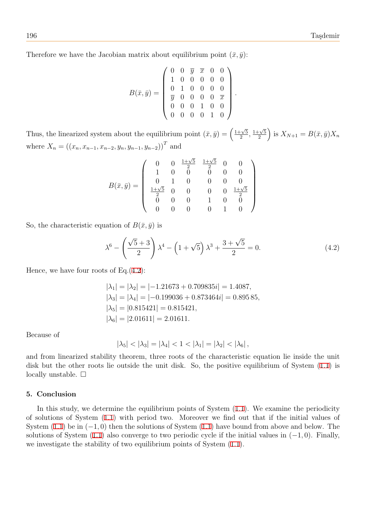Therefore we have the Jacobian matrix about equilibrium point  $(\bar{x}, \bar{y})$ :

$$
B(\bar{x}, \bar{y}) = \left(\begin{array}{cccccc} 0 & 0 & \bar{y} & \bar{x} & 0 & 0 \\ 1 & 0 & 0 & 0 & 0 & 0 \\ 0 & 1 & 0 & 0 & 0 & 0 \\ \bar{y} & 0 & 0 & 0 & 0 & \bar{x} \\ 0 & 0 & 0 & 1 & 0 & 0 \\ 0 & 0 & 0 & 0 & 1 & 0 \end{array}\right).
$$

Thus, the linearized system about the equilibrium point  $(\bar{x}, \bar{y}) = \left(\frac{1+\sqrt{5}}{2}\right)$  $\frac{1+\sqrt{5}}{2}, \frac{1+\sqrt{5}}{2}$  $\left(\frac{\sqrt{5}}{2}\right)$  is  $X_{N+1} = B(\bar{x}, \bar{y})X_n$ where  $X_n = ((x_n, x_{n-1}, x_{n-2}, y_n, y_{n-1}, y_{n-2}))^T$  and

$$
B(\bar{x}, \bar{y}) = \left(\begin{array}{ccccc} 0 & 0 & \frac{1+\sqrt{5}}{2} & \frac{1+\sqrt{5}}{2} & 0 & 0 \\ 1 & 0 & 0 & 0 & 0 & 0 \\ 0 & 1 & 0 & 0 & 0 & 0 \\ \frac{1+\sqrt{5}}{2} & 0 & 0 & 0 & 0 & \frac{1+\sqrt{5}}{2} \\ 0 & 0 & 0 & 1 & 0 & 0 \\ 0 & 0 & 0 & 0 & 1 & 0 \end{array}\right)
$$

So, the characteristic equation of  $B(\bar{x}, \bar{y})$  is

$$
\lambda^6 - \left(\frac{\sqrt{5} + 3}{2}\right)\lambda^4 - \left(1 + \sqrt{5}\right)\lambda^3 + \frac{3 + \sqrt{5}}{2} = 0.
$$
 (4.2)

Hence, we have four roots of Eq. $(4.2)$ :

<span id="page-9-0"></span>
$$
|\lambda_1| = |\lambda_2| = |-1.21673 + 0.709835i| = 1.4087,
$$
  
\n
$$
|\lambda_3| = |\lambda_4| = |-0.199036 + 0.873464i| = 0.89585,
$$
  
\n
$$
|\lambda_5| = |0.815421| = 0.815421,
$$
  
\n
$$
|\lambda_6| = |2.01611| = 2.01611.
$$

Because of

$$
|\lambda_5| < |\lambda_3| = |\lambda_4| < 1 < |\lambda_1| = |\lambda_2| < |\lambda_6|,
$$

and from linearized stability theorem, three roots of the characteristic equation lie inside the unit disk but the other roots lie outside the unit disk. So, the positive equilibrium of System (1.1) is locally unstable. □

#### **5. Conclusion**

In this study, we determine the equilibrium points of System  $(1.1)$ . We examine the periodicity of solutions of System (1.1) with period two. Moreover we find out that if the initial values of System (1.1) be in (*−*1*,* 0) then the solutions of System (1.1) have bound from above and below. The solutions of System (1.1) also converge to two periodic cycle if th[e in](#page-1-1)itial values in (*−*1*,* 0). Finally, we investigate the stabil[ity o](#page-1-1)f two equilibrium points of System  $(1.1)$ .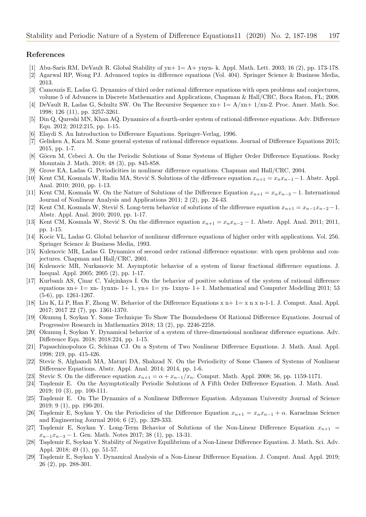#### **References**

- <span id="page-10-1"></span>[1] Abu-Saris RM, DeVault R. Global Stability of yn+ 1= A+ ynyn- k. Appl. Math. Lett. 2003; 16 (2), pp. 173-178.
- [2] Agarwal RP, Wong PJ. Advanced topics in difference equations (Vol. 404). Springer Science & Business Media, 2013.
- [3] Camouzis E, Ladas G. Dynamics of third order rational difference equations with open problems and conjectures, volume 5 of Advances in Discrete Mathematics and Applications, Chapman & Hall/CRC, Boca Raton, FL; 2008.
- <span id="page-10-0"></span>[4] DeVault R, Ladas G, Schultz SW. On The Recursive Sequence xn+ 1= A/xn+ 1/xn-2. Proc. Amer. Math. Soc. 1998; 126 (11), pp. 3257-3261.
- [5] Din Q, Qureshi MN, Khan AQ. Dynamics of a fourth-order system of rational difference equations. Adv. Difference Equ. 2012; 2012:215, pp. 1-15.
- [6] Elaydi S. An Introduction to Difference Equations. Springer-Verlag, 1996.
- [7] Gelisken A, Kara M. Some general systems of rational difference equations. Journal of Difference Equations 2015; 2015, pp. 1-7.
- [8] Göcen M, Cebeci A. On the Periodic Solutions of Some Systems of Higher Order Difference Equations. Rocky Mountain J. Math. 2018; 48 (3), pp. 845-858.
- [9] Grove EA, Ladas G. Periodicities in nonlinear difference equations. Chapman and Hall/CRC, 2004.
- <span id="page-10-3"></span>[10] Kent CM, Kosmala W, Radin MA, Stević S. Solutions of the difference equation  $x_{n+1} = x_n x_{n-1} - 1$ . Abstr. Appl. Anal. 2010; 2010, pp. 1-13.
- [11] Kent CM, Kosmala W. On the Nature of Solutions of the Difference Equation  $x_{n+1} = x_n x_{n-3} 1$ . International Journal of Nonlinear Analysis and Applications 2011; 2 (2), pp. 24-43.
- [12] Kent CM, Kosmala W, Stević S. Long-term behavior of solutions of the difference equation  $x_{n+1} = x_{n-1}x_{n-2} 1$ . Abstr. Appl. Anal. 2010; 2010, pp. 1-17.
- <span id="page-10-5"></span>[13] Kent CM, Kosmala W, Stević S. On the difference equation  $x_{n+1} = x_n x_{n-2} - 1$ . Abstr. Appl. Anal. 2011; 2011, pp. 1-15.
- <span id="page-10-6"></span>[14] Kocic VL, Ladas G. Global behavior of nonlinear difference equations of higher order with applications. Vol. 256. Springer Science & Business Media, 1993.
- [15] Kulenovic MR, Ladas G. Dynamics of second order rational difference equations: with open problems and conjectures. Chapman and Hall/CRC, 2001.
- [16] Kulenovic MR, Nurkanovic M. Asymptotic behavior of a system of linear fractional difference equations. J. Inequal. Appl. 2005; 2005 (2), pp. 1-17.
- [17] Kurbanlı AS, Cinar C, Yalçinkaya I. On the behavior of positive solutions of the system of rational difference equations  $x_n + 1 = x_n - 1$ yn $x_n - 1 + 1$ , yn $x_n - 1 = y_n - 1$ xnyn-  $1 + 1$ . Mathematical and Computer Modelling 2011; 53 (5-6), pp. 1261-1267.
- <span id="page-10-4"></span>[18] Liu K, Li P, Han F, Zhong W. Behavior of the Difference Equations x n+ 1= x n x n-1-1. J. Comput. Anal. Appl. 2017; 2017 22 (7), pp. 1361-1370.
- [19] Okumuş İ, Soykan Y. Some Technique To Show The Boundedness Of Rational Difference Equations. Journal of Progressive Research in Mathematics 2018; 13 (2), pp. 2246-2258.
- [20] Okumuş İ, Soykan Y. Dynamical behavior of a system of three-dimensional nonlinear difference equations. Adv. Difference Equ. 2018; 2018:224, pp. 1-15.
- <span id="page-10-2"></span>[21] Papaschinopoluos G, Schinas CJ. On a System of Two Nonlinear Difference Equations. J. Math. Anal. Appl. 1998; 219, pp. 415-426.
- [22] Stevic S, Alghamdi MA, Maturi DA, Shahzad N. On the Periodicity of Some Classes of Systems of Nonlinear Difference Equations. Abstr. Appl. Anal. 2014; 2014, pp. 1-6.
- [23] Stevic S. On the difference equation  $x_{n+1} = \alpha + x_{n-1}/x_n$ . Comput. Math. Appl. 2008; 56, pp. 1159-1171. [24] Tasdemir E. On the Asymptotically Periodic Solutions of A Fifth Order Difference Equation. J. Math.
- [24] Ta¸sdemir E. On the Asymptotically Periodic Solutions of A Fifth Order Difference Equation. J. Math. Anal. 2019; 10 (3), pp. 100-111.
- [25] Taşdemir E. On The Dynamics of a Nonlinear Difference Equation. Adıyaman University Journal of Science 2019; 9 (1), pp. 190-201.
- [26] Taşdemir E, Soykan Y. On the Periodicies of the Difference Equation  $x_{n+1} = x_n x_{n-1} + \alpha$ . Karaelmas Science and Engineering Journal 2016; 6 (2), pp. 329-333.
- [27] Taşdemir E, Soykan Y. Long-Term Behavior of Solutions of the Non-Linear Difference Equation  $x_{n+1}$  = *x<sup>n</sup>−*<sup>1</sup>*x<sup>n</sup>−*<sup>3</sup> *−* 1. Gen. Math. Notes 2017; 38 (1), pp. 13-31.
- [28] Taşdemir E, Soykan Y. Stability of Negative Equilibrium of a Non-Linear Difference Equation. J. Math. Sci. Adv. Appl. 2018; 49 (1), pp. 51-57.
- [29] Taşdemir E, Soykan Y. Dynamical Analysis of a Non-Linear Difference Equation. J. Comput. Anal. Appl. 2019; 26 (2), pp. 288-301.